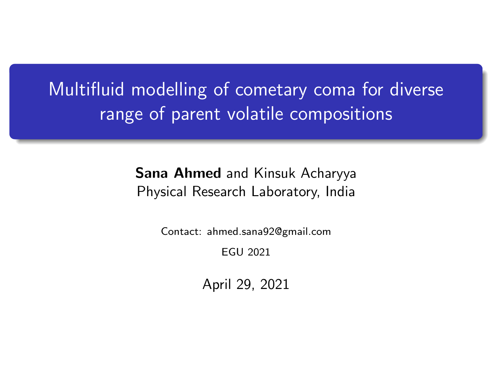Multifluid modelling of cometary coma for diverse range of parent volatile compositions

> Sana Ahmed and Kinsuk Acharyya Physical Research Laboratory, India

> > Contact: ahmed.sana92@gmail.com

EGU 2021

April 29, 2021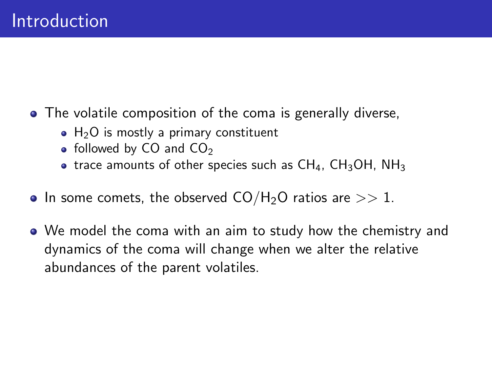- The volatile composition of the coma is generally diverse,
	- $\bullet$  H<sub>2</sub>O is mostly a primary constituent
	- $\bullet$  followed by CO and CO<sub>2</sub>
	- trace amounts of other species such as  $CH_4$ ,  $CH_3OH$ ,  $NH_3$
- In some comets, the observed  $CO/H<sub>2</sub>O$  ratios are  $>> 1$ .
- We model the coma with an aim to study how the chemistry and dynamics of the coma will change when we alter the relative abundances of the parent volatiles.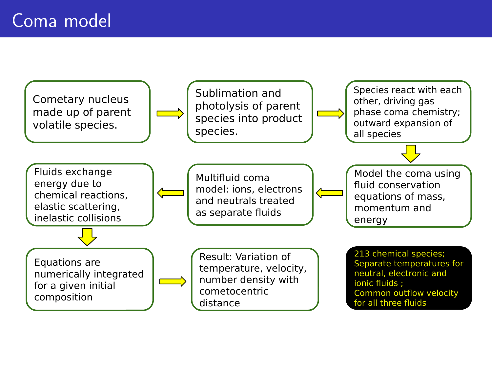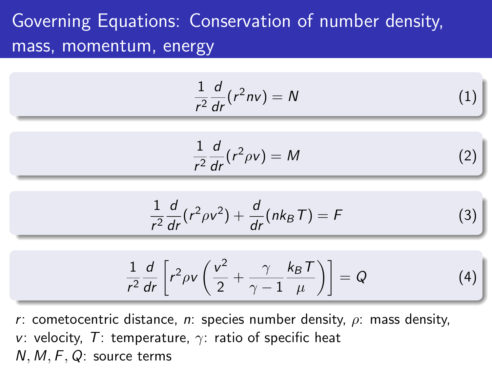# Governing Equations: Conservation of number density, mass, momentum, energy

$$
\frac{1}{r^2}\frac{d}{dr}(r^2nv) = N\tag{1}
$$

$$
\frac{1}{r^2}\frac{d}{dr}(r^2\rho v) = M\tag{2}
$$

$$
\frac{1}{r^2}\frac{d}{dr}(r^2\rho v^2) + \frac{d}{dr}(nk_BT) = F
$$
 (3)

$$
\frac{1}{r^2}\frac{d}{dr}\left[r^2\rho v\left(\frac{v^2}{2}+\frac{\gamma}{\gamma-1}\frac{k_BT}{\mu}\right)\right]=Q\tag{4}
$$

r: cometocentric distance, n: species number density,  $\rho$ : mass density, v: velocity, T: temperature,  $\gamma$ : ratio of specific heat N, M, F, Q: source terms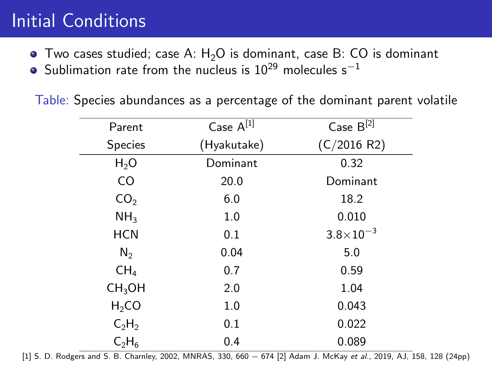## Initial Conditions

- $\bullet$  Two cases studied; case A:  $H_2O$  is dominant, case B: CO is dominant
- $\bullet$  Sublimation rate from the nucleus is 10<sup>29</sup> molecules s<sup>-1</sup>

Table: Species abundances as a percentage of the dominant parent volatile

| Parent             | Case A[1]   | Case B[2]          |
|--------------------|-------------|--------------------|
| Species            | (Hyakutake) | (C/2016 R2)        |
| $H_2O$             | Dominant    | 0.32               |
| CO.                | 20.0        | Dominant           |
| CO <sub>2</sub>    | 6.0         | 18.2               |
| NH <sub>3</sub>    | 1.0         | 0.010              |
| <b>HCN</b>         | 0.1         | $3.8\times10^{-3}$ |
| $N_{2}$            | 0.04        | 5.0                |
| CH <sub>4</sub>    | 0.7         | 0.59               |
| CH <sub>3</sub> OH | 2.0         | 1.04               |
| $H_2CO$            | 1.0         | 0.043              |
| $C_2H_2$           | 0.1         | 0.022              |
| $C_2H_6$           | 0.4         | 0.089              |

[1] S. D. Rodgers and S. B. Charnley, 2002, MNRAS, 330, 660 - 674 [2] Adam J. McKay et al., 2019, AJ, 158, 128 (24pp)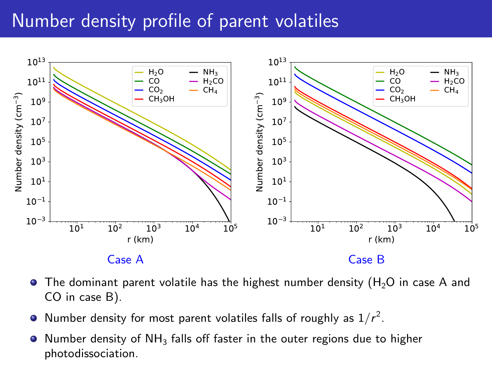#### Number density profile of parent volatiles



- $\bullet$  The dominant parent volatile has the highest number density (H<sub>2</sub>O in case A and CO in case B).
- Number density for most parent volatiles falls of roughly as  $1/r^2$ .  $\bullet$
- Number density of NH $_3$  falls off faster in the outer regions due to higher photodissociation.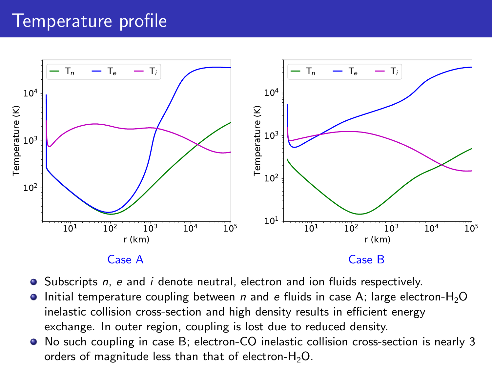### Temperature profile



- Subscripts n, e and i denote neutral, electron and ion fluids respectively.
- Initial temperature coupling between n and e fluids in case A; large electron- $H_2O$  $\bullet$ inelastic collision cross-section and high density results in efficient energy exchange. In outer region, coupling is lost due to reduced density.
- No such coupling in case B; electron-CO inelastic collision cross-section is nearly 3 orders of magnitude less than that of electron- $H_2O$ .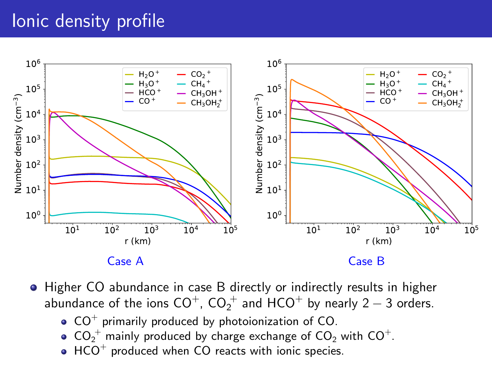## Ionic density profile



- Higher CO abundance in case B directly or indirectly results in higher abundance of the ions  $\mathsf{CO}^{+}$ ,  $\mathsf{CO_2^+}$  and  $\mathsf{HCO}^+$  by nearly 2  $-$  3 orders.
	- $CO<sup>+</sup>$  primarily produced by photoionization of  $CO$ .
	- $\mathsf{CO_2}^+$  mainly produced by charge exchange of  $\mathsf{CO_2}$  with  $\mathsf{CO}^+$ .
	- $HCO<sup>+</sup>$  produced when  $CO$  reacts with ionic species.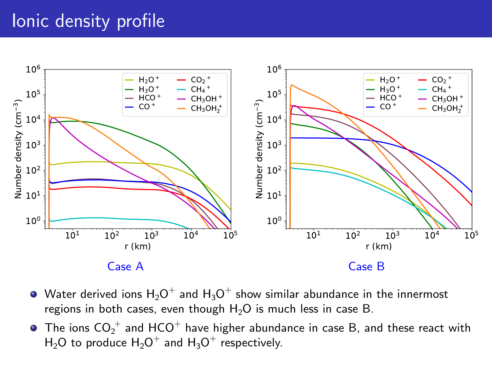### Ionic density profile



- Water derived ions  ${\sf H_2O}^+$  and  ${\sf H_3O}^+$  show similar abundance in the innermost regions in both cases, even though  $H_2O$  is much less in case B.
- The ions  $\mathsf{CO_2^+}$  and  $\mathsf{HCO^+}$  have higher abundance in case B, and these react with  $\mathsf{H}_2\mathsf{O}$  to produce  $\mathsf{H}_2\mathsf{O}^+$  and  $\mathsf{H}_3\mathsf{O}^+$  respectively.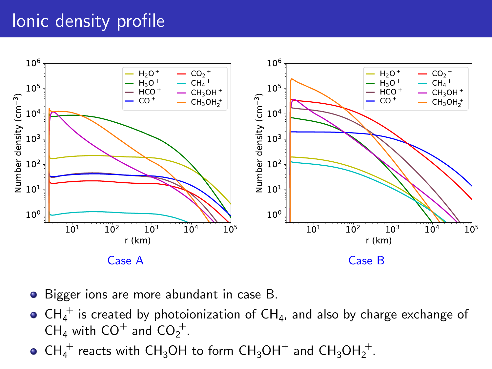## Ionic density profile



- Bigger ions are more abundant in case B.
- $\mathsf{CH_4^+}$  is created by photoionization of  $\mathsf{CH_4}$ , and also by charge exchange of  $CH_4$  with  $CO<sup>+</sup>$  and  $CO<sub>2</sub><sup>+</sup>$ .
- $\mathsf{CH_4}^+$  reacts with  $\mathsf{CH_3OH}$  to form  $\mathsf{CH_3OH}^+$  and  $\mathsf{CH_3OH}_2^+.$